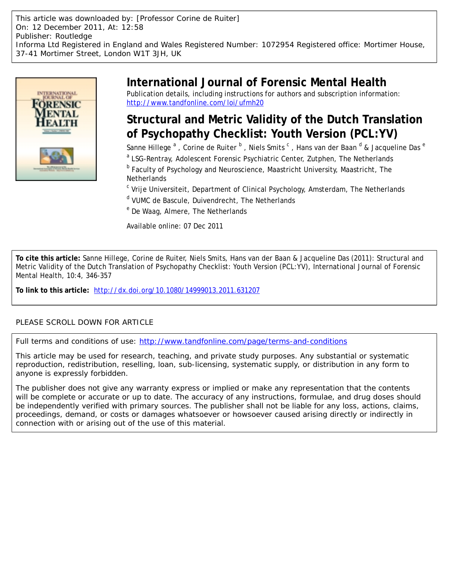This article was downloaded by: [Professor Corine de Ruiter] On: 12 December 2011, At: 12:58 Publisher: Routledge Informa Ltd Registered in England and Wales Registered Number: 1072954 Registered office: Mortimer House, 37-41 Mortimer Street, London W1T 3JH, UK



## **International Journal of Forensic Mental Health**

Publication details, including instructions for authors and subscription information: <http://www.tandfonline.com/loi/ufmh20>

# **Structural and Metric Validity of the Dutch Translation of Psychopathy Checklist: Youth Version (PCL:YV)**

Sanne Hillege  $^{\rm a}$  , Corine de Ruiter  $^{\rm b}$  , Niels Smits  $^{\rm c}$  , Hans van der Baan  $^{\rm d}$  & Jacqueline Das  $^{\rm e}$ 

<sup>a</sup> LSG-Rentray, Adolescent Forensic Psychiatric Center, Zutphen, The Netherlands <sup>b</sup> Faculty of Psychology and Neuroscience, Maastricht University, Maastricht, The **Netherlands** 

<sup>c</sup> Vrije Universiteit, Department of Clinical Psychology, Amsterdam, The Netherlands d VUMC de Bascule, Duivendrecht, The Netherlands

<sup>e</sup> De Waag, Almere, The Netherlands

Available online: 07 Dec 2011

**To cite this article:** Sanne Hillege, Corine de Ruiter, Niels Smits, Hans van der Baan & Jacqueline Das (2011): Structural and Metric Validity of the Dutch Translation of Psychopathy Checklist: Youth Version (PCL:YV), International Journal of Forensic Mental Health, 10:4, 346-357

**To link to this article:** <http://dx.doi.org/10.1080/14999013.2011.631207>

## PLEASE SCROLL DOWN FOR ARTICLE

Full terms and conditions of use:<http://www.tandfonline.com/page/terms-and-conditions>

This article may be used for research, teaching, and private study purposes. Any substantial or systematic reproduction, redistribution, reselling, loan, sub-licensing, systematic supply, or distribution in any form to anyone is expressly forbidden.

The publisher does not give any warranty express or implied or make any representation that the contents will be complete or accurate or up to date. The accuracy of any instructions, formulae, and drug doses should be independently verified with primary sources. The publisher shall not be liable for any loss, actions, claims, proceedings, demand, or costs or damages whatsoever or howsoever caused arising directly or indirectly in connection with or arising out of the use of this material.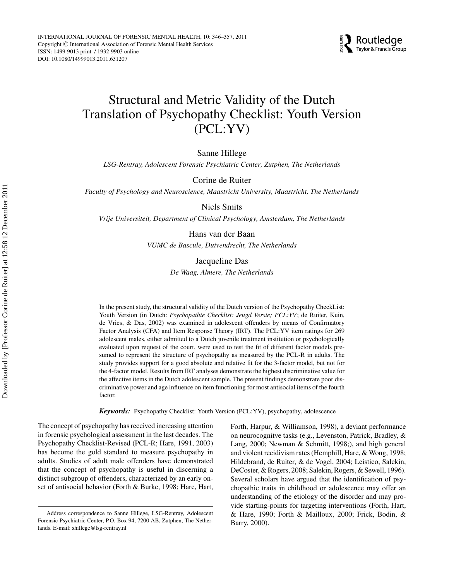

# Structural and Metric Validity of the Dutch Translation of Psychopathy Checklist: Youth Version (PCL:YV)

Sanne Hillege

*LSG-Rentray, Adolescent Forensic Psychiatric Center, Zutphen, The Netherlands*

Corine de Ruiter

*Faculty of Psychology and Neuroscience, Maastricht University, Maastricht, The Netherlands*

Niels Smits

*Vrije Universiteit, Department of Clinical Psychology, Amsterdam, The Netherlands*

Hans van der Baan *VUMC de Bascule, Duivendrecht, The Netherlands*

Jacqueline Das

*De Waag, Almere, The Netherlands*

In the present study, the structural validity of the Dutch version of the Psychopathy CheckList: Youth Version (in Dutch: *Psychopathie Checklist: Jeugd Versie; PCL:YV*; de Ruiter, Kuin, de Vries, & Das, 2002) was examined in adolescent offenders by means of Confirmatory Factor Analysis (CFA) and Item Response Theory (IRT). The PCL:YV item ratings for 269 adolescent males, either admitted to a Dutch juvenile treatment institution or psychologically evaluated upon request of the court, were used to test the fit of different factor models presumed to represent the structure of psychopathy as measured by the PCL-R in adults. The study provides support for a good absolute and relative fit for the 3-factor model, but not for the 4-factor model. Results from IRT analyses demonstrate the highest discriminative value for the affective items in the Dutch adolescent sample. The present findings demonstrate poor discriminative power and age influence on item functioning for most antisocial items of the fourth factor.

*Keywords:* Psychopathy Checklist: Youth Version (PCL:YV), psychopathy, adolescence

The concept of psychopathy has received increasing attention in forensic psychological assessment in the last decades. The Psychopathy Checklist-Revised (PCL-R; Hare, 1991, 2003) has become the gold standard to measure psychopathy in adults. Studies of adult male offenders have demonstrated that the concept of psychopathy is useful in discerning a distinct subgroup of offenders, characterized by an early onset of antisocial behavior (Forth & Burke, 1998; Hare, Hart,

Forth, Harpur, & Williamson, 1998), a deviant performance on neurocognitve tasks (e.g., Levenston, Patrick, Bradley, & Lang, 2000; Newman & Schmitt, 1998;), and high general and violent recidivism rates (Hemphill, Hare, & Wong, 1998; Hildebrand, de Ruiter, & de Vogel, 2004; Leistico, Salekin, DeCoster, & Rogers, 2008; Salekin, Rogers, & Sewell, 1996). Several scholars have argued that the identification of psychopathic traits in childhood or adolescence may offer an understanding of the etiology of the disorder and may provide starting-points for targeting interventions (Forth, Hart, & Hare, 1990; Forth & Mailloux, 2000; Frick, Bodin, & Barry, 2000).

Address correspondence to Sanne Hillege, LSG-Rentray, Adolescent Forensic Psychiatric Center, P.O. Box 94, 7200 AB, Zutphen, The Netherlands. E-mail: shillege@lsg-rentray.nl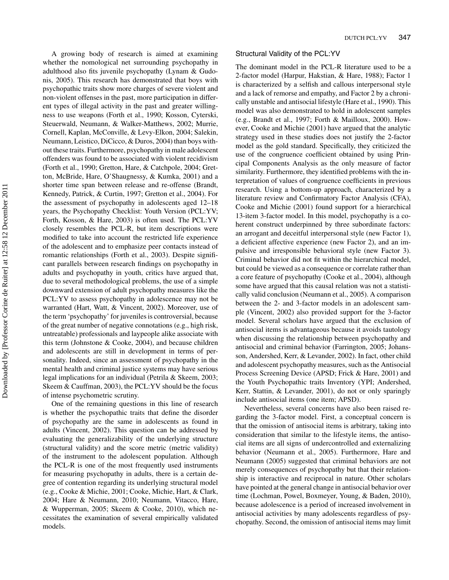A growing body of research is aimed at examining whether the nomological net surrounding psychopathy in adulthood also fits juvenile psychopathy (Lynam & Gudonis, 2005). This research has demonstrated that boys with psychopathic traits show more charges of severe violent and non-violent offenses in the past, more participation in different types of illegal activity in the past and greater willingness to use weapons (Forth et al., 1990; Kosson, Cyterski, Steuerwald, Neumann, & Walker-Matthews, 2002; Murrie, Cornell, Kaplan, McConville, & Levy-Elkon, 2004; Salekin, Neumann, Leistico, DiCicco, & Duros, 2004) than boys without these traits. Furthermore, psychopathy in male adolescent offenders was found to be associated with violent recidivism (Forth et al., 1990; Gretton, Hare, & Catchpole, 2004; Gretton, McBride, Hare, O'Shaugnessy, & Kumka, 2001) and a shorter time span between release and re-offense (Brandt, Kennedy, Patrick, & Curtin, 1997; Gretton et al., 2004). For the assessment of psychopathy in adolescents aged 12–18 years, the Psychopathy Checklist: Youth Version (PCL:YV; Forth, Kosson, & Hare, 2003) is often used. The PCL:YV closely resembles the PCL-R, but item descriptions were modified to take into account the restricted life experience of the adolescent and to emphasize peer contacts instead of romantic relationships (Forth et al., 2003). Despite significant parallels between research findings on psychopathy in adults and psychopathy in youth, critics have argued that, due to several methodological problems, the use of a simple downward extension of adult psychopathy measures like the PCL:YV to assess psychopathy in adolescence may not be warranted (Hart, Watt, & Vincent, 2002). Moreover, use of the term 'psychopathy' for juveniles is controversial, because of the great number of negative connotations (e.g., high risk, untreatable) professionals and laypeople alike associate with this term (Johnstone & Cooke, 2004), and because children and adolescents are still in development in terms of personality. Indeed, since an assessment of psychopathy in the mental health and criminal justice systems may have serious legal implications for an individual (Petrila & Skeem, 2003; Skeem & Cauffman, 2003), the PCL:YV should be the focus of intense psychometric scrutiny.

One of the remaining questions in this line of research is whether the psychopathic traits that define the disorder of psychopathy are the same in adolescents as found in adults (Vincent, 2002). This question can be addressed by evaluating the generalizability of the underlying structure (structural validity) and the score metric (metric validity) of the instrument to the adolescent population. Although the PCL-R is one of the most frequently used instruments for measuring psychopathy in adults, there is a certain degree of contention regarding its underlying structural model (e.g., Cooke & Michie, 2001; Cooke, Michie, Hart, & Clark, 2004; Hare & Neumann, 2010; Neumann, Vitacco, Hare, & Wupperman, 2005; Skeem & Cooke, 2010), which necessitates the examination of several empirically validated models.

## Structural Validity of the PCL:YV

The dominant model in the PCL-R literature used to be a 2-factor model (Harpur, Hakstian, & Hare, 1988); Factor 1 is characterized by a selfish and callous interpersonal style and a lack of remorse and empathy, and Factor 2 by a chronically unstable and antisocial lifestyle (Hare et al., 1990). This model was also demonstrated to hold in adolescent samples (e.g., Brandt et al., 1997; Forth & Mailloux, 2000). However, Cooke and Michie (2001) have argued that the analytic strategy used in these studies does not justify the 2-factor model as the gold standard. Specifically, they criticized the use of the congruence coefficient obtained by using Principal Components Analysis as the only measure of factor similarity. Furthermore, they identified problems with the interpretation of values of congruence coefficients in previous research. Using a bottom-up approach, characterized by a literature review and Confirmatory Factor Analysis (CFA), Cooke and Michie (2001) found support for a hierarchical 13-item 3-factor model. In this model, psychopathy is a coherent construct underpinned by three subordinate factors: an arrogant and deceitful interpersonal style (new Factor 1), a deficient affective experience (new Factor 2), and an impulsive and irresponsible behavioral style (new Factor 3). Criminal behavior did not fit within the hierarchical model, but could be viewed as a consequence or correlate rather than a core feature of psychopathy (Cooke et al., 2004), although some have argued that this causal relation was not a statistically valid conclusion (Neumann et al., 2005). A comparison between the 2- and 3-factor models in an adolescent sample (Vincent, 2002) also provided support for the 3-factor model. Several scholars have argued that the exclusion of antisocial items is advantageous because it avoids tautology when discussing the relationship between psychopathy and antisocial and criminal behavior (Farrington, 2005; Johansson, Andershed, Kerr, & Levander, 2002). In fact, other child and adolescent psychopathy measures, such as the Antisocial Process Screening Device (APSD; Frick & Hare, 2001) and the Youth Psychopathic traits Inventory (YPI; Andershed, Kerr, Stattin, & Levander, 2001), do not or only sparingly include antisocial items (one item; APSD).

Nevertheless, several concerns have also been raised regarding the 3-factor model. First, a conceptual concern is that the omission of antisocial items is arbitrary, taking into consideration that similar to the lifestyle items, the antisocial items are all signs of undercontrolled and externalizing behavior (Neumann et al., 2005). Furthermore, Hare and Neumann (2005) suggested that criminal behaviors are not merely consequences of psychopathy but that their relationship is interactive and reciprocal in nature. Other scholars have pointed at the general change in antisocial behavior over time (Lochman, Powel, Boxmeyer, Young, & Baden, 2010), because adolescence is a period of increased involvement in antisocial activities by many adolescents regardless of psychopathy. Second, the omission of antisocial items may limit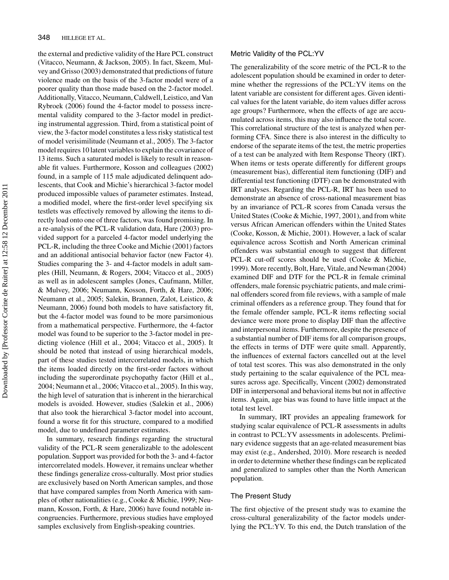the external and predictive validity of the Hare PCL construct (Vitacco, Neumann, & Jackson, 2005). In fact, Skeem, Mulvey and Grisso (2003) demonstrated that predictions of future violence made on the basis of the 3-factor model were of a poorer quality than those made based on the 2-factor model. Additionally, Vitacco, Neumann, Caldwell, Leistico, and Van Rybroek (2006) found the 4-factor model to possess incremental validity compared to the 3-factor model in predicting instrumental aggression. Third, from a statistical point of view, the 3-factor model constitutes a less risky statistical test of model verisimilitude (Neumann et al., 2005). The 3-factor model requires 10 latent variables to explain the covariance of 13 items. Such a saturated model is likely to result in reasonable fit values. Furthermore, Kosson and colleagues (2002) found, in a sample of 115 male adjudicated delinquent adolescents, that Cook and Michie's hierarchical 3-factor model produced impossible values of parameter estimates. Instead, a modified model, where the first-order level specifying six testlets was effectively removed by allowing the items to directly load onto one of three factors, was found promising. In a re-analysis of the PCL-R validation data, Hare (2003) provided support for a parceled 4-factor model underlying the PCL-R, including the three Cooke and Michie (2001) factors and an additional antisocial behavior factor (new Factor 4). Studies comparing the 3- and 4-factor models in adult samples (Hill, Neumann, & Rogers, 2004; Vitacco et al., 2005) as well as in adolescent samples (Jones, Caufmann, Miller, & Mulvey, 2006; Neumann, Kosson, Forth, & Hare, 2006; Neumann et al., 2005; Salekin, Brannen, Zalot, Leistico, & Neumann, 2006) found both models to have satisfactory fit, but the 4-factor model was found to be more parsimonious from a mathematical perspective. Furthermore, the 4-factor model was found to be superior to the 3-factor model in predicting violence (Hill et al., 2004; Vitacco et al., 2005). It should be noted that instead of using hierarchical models, part of these studies tested intercorrelated models, in which the items loaded directly on the first-order factors without including the superordinate psychopathy factor (Hill et al., 2004; Neumann et al., 2006; Vitacco et al., 2005). In this way, the high level of saturation that is inherent in the hierarchical models is avoided. However, studies (Salekin et al., 2006) that also took the hierarchical 3-factor model into account, found a worse fit for this structure, compared to a modified model, due to undefined parameter estimates.

In summary, research findings regarding the structural validity of the PCL-R seem generalizable to the adolescent population. Support was provided for both the 3- and 4-factor intercorrelated models. However, it remains unclear whether these findings generalize cross-culturally. Most prior studies are exclusively based on North American samples, and those that have compared samples from North America with samples of other nationalities (e.g., Cooke & Michie, 1999; Neumann, Kosson, Forth, & Hare, 2006) have found notable incongruencies. Furthermore, previous studies have employed samples exclusively from English-speaking countries.

#### Metric Validity of the PCL:YV

The generalizability of the score metric of the PCL-R to the adolescent population should be examined in order to determine whether the regressions of the PCL:YV items on the latent variable are consistent for different ages. Given identical values for the latent variable, do item values differ across age groups? Furthermore, when the effects of age are accumulated across items, this may also influence the total score. This correlational structure of the test is analyzed when performing CFA. Since there is also interest in the difficulty to endorse of the separate items of the test, the metric properties of a test can be analyzed with Item Response Theory (IRT). When items or tests operate differently for different groups (measurement bias), differential item functioning (DIF) and differential test functioning (DTF) can be demonstrated with IRT analyses. Regarding the PCL-R, IRT has been used to demonstrate an absence of cross-national measurement bias by an invariance of PCL-R scores from Canada versus the United States (Cooke & Michie, 1997, 2001), and from white versus African American offenders within the United States (Cooke, Kosson, & Michie, 2001). However, a lack of scalar equivalence across Scottish and North American criminal offenders was substantial enough to suggest that different PCL-R cut-off scores should be used (Cooke & Michie, 1999). More recently, Bolt, Hare, Vitale, and Newman (2004) examined DIF and DTF for the PCL-R in female criminal offenders, male forensic psychiatric patients, and male criminal offenders scored from file reviews, with a sample of male criminal offenders as a reference group. They found that for the female offender sample, PCL-R items reflecting social deviance were more prone to display DIF than the affective and interpersonal items. Furthermore, despite the presence of a substantial number of DIF items for all comparison groups, the effects in terms of DTF were quite small. Apparently, the influences of external factors cancelled out at the level of total test scores. This was also demonstrated in the only study pertaining to the scalar equivalence of the PCL measures across age. Specifically, Vincent (2002) demonstrated DIF in interpersonal and behavioral items but not in affective items. Again, age bias was found to have little impact at the total test level.

In summary, IRT provides an appealing framework for studying scalar equivalence of PCL-R assessments in adults in contrast to PCL:YV assessments in adolescents. Preliminary evidence suggests that an age-related measurement bias may exist (e.g., Andershed, 2010). More research is needed in order to determine whether these findings can be replicated and generalized to samples other than the North American population.

#### The Present Study

The first objective of the present study was to examine the cross-cultural generalizability of the factor models underlying the PCL:YV. To this end, the Dutch translation of the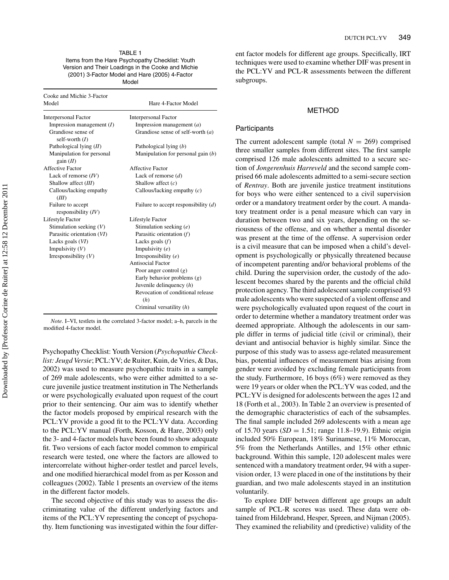| Cooke and Michie 3-Factor<br>Model         | Hare 4-Factor Model                      |
|--------------------------------------------|------------------------------------------|
| <b>Interpersonal Factor</b>                | <b>Interpersonal Factor</b>              |
| Impression management $(I)$                | Impression management $(a)$              |
| Grandiose sense of<br>self-worth $(I)$     | Grandiose sense of self-worth $(a)$      |
| Pathological lying $(II)$                  | Pathological lying $(b)$                 |
| Manipulation for personal<br>gain (II)     | Manipulation for personal gain $(b)$     |
| Affective Factor                           | Affective Factor                         |
| Lack of remorse $(IV)$                     | Lack of remorse $(d)$                    |
| Shallow affect (III)                       | Shallow affect $(c)$                     |
| Callous/lacking empathy<br>(III)           | Callous/lacking empathy $(c)$            |
| Failure to accept<br>responsibility $(IV)$ | Failure to accept responsibility $(d)$   |
| Lifestyle Factor                           | Lifestyle Factor                         |
| Stimulation seeking $(V)$                  | Stimulation seeking (e)                  |
| Parasitic orientation (VI)                 | Parasitic orientation $(f)$              |
| Lacks goals $(VI)$                         | Lacks goals $(f)$                        |
| Impulsivity $(V)$                          | Impulsivity $(e)$                        |
| Irresponsibility $(V)$                     | Irresponsibility $(e)$                   |
|                                            | <b>Antisocial Factor</b>                 |
|                                            | Poor anger control $(g)$                 |
|                                            | Early behavior problems $(g)$            |
|                                            | Juvenile delinquency $(h)$               |
|                                            | Revocation of conditional release<br>(h) |
|                                            | Criminal versatility $(h)$               |

*Note*. I–VI, testlets in the correlated 3-factor model; a–h, parcels in the modified 4-factor model.

Psychopathy Checklist: Youth Version (*Psychopathie Checklist: Jeugd Versie*; PCL:YV; de Ruiter, Kuin, de Vries, & Das, 2002) was used to measure psychopathic traits in a sample of 269 male adolescents, who were either admitted to a secure juvenile justice treatment institution in The Netherlands or were psychologically evaluated upon request of the court prior to their sentencing. Our aim was to identify whether the factor models proposed by empirical research with the PCL:YV provide a good fit to the PCL:YV data. According to the PCL:YV manual (Forth, Kosson, & Hare, 2003) only the 3- and 4-factor models have been found to show adequate fit. Two versions of each factor model common to empirical research were tested, one where the factors are allowed to intercorrelate without higher-order testlet and parcel levels, and one modified hierarchical model from as per Kosson and colleagues (2002). Table 1 presents an overview of the items in the different factor models.

The second objective of this study was to assess the discriminating value of the different underlying factors and items of the PCL:YV representing the concept of psychopathy. Item functioning was investigated within the four different factor models for different age groups. Specifically, IRT techniques were used to examine whether DIF was present in the PCL:YV and PCL-R assessments between the different subgroups.

## METHOD

## **Participants**

The current adolescent sample (total  $N = 269$ ) comprised three smaller samples from different sites. The first sample comprised 126 male adolescents admitted to a secure section of *Jongerenhuis Harreveld* and the second sample comprised 66 male adolescents admitted to a semi-secure section of *Rentray*. Both are juvenile justice treatment institutions for boys who were either sentenced to a civil supervision order or a mandatory treatment order by the court. A mandatory treatment order is a penal measure which can vary in duration between two and six years, depending on the seriousness of the offense, and on whether a mental disorder was present at the time of the offense. A supervision order is a civil measure that can be imposed when a child's development is psychologically or physically threatened because of incompetent parenting and/or behavioral problems of the child. During the supervision order, the custody of the adolescent becomes shared by the parents and the official child protection agency. The third adolescent sample comprised 93 male adolescents who were suspected of a violent offense and were psychologically evaluated upon request of the court in order to determine whether a mandatory treatment order was deemed appropriate. Although the adolescents in our sample differ in terms of judicial title (civil or criminal), their deviant and antisocial behavior is highly similar. Since the purpose of this study was to assess age-related measurement bias, potential influences of measurement bias arising from gender were avoided by excluding female participants from the study. Furthermore, 16 boys (6%) were removed as they were 19 years or older when the PCL:YV was coded, and the PCL:YV is designed for adolescents between the ages 12 and 18 (Forth et al., 2003). In Table 2 an overview is presented of the demographic characteristics of each of the subsamples. The final sample included 269 adolescents with a mean age of 15.70 years ( $SD = 1.51$ ; range 11.8–19.9). Ethnic origin included 50% European, 18% Surinamese, 11% Moroccan, 5% from the Netherlands Antilles, and 15% other ethnic background. Within this sample, 120 adolescent males were sentenced with a mandatory treatment order, 94 with a supervision order, 13 were placed in one of the institutions by their guardian, and two male adolescents stayed in an institution voluntarily.

To explore DIF between different age groups an adult sample of PCL-R scores was used. These data were obtained from Hildebrand, Hesper, Spreen, and Nijman (2005). They examined the reliability and (predictive) validity of the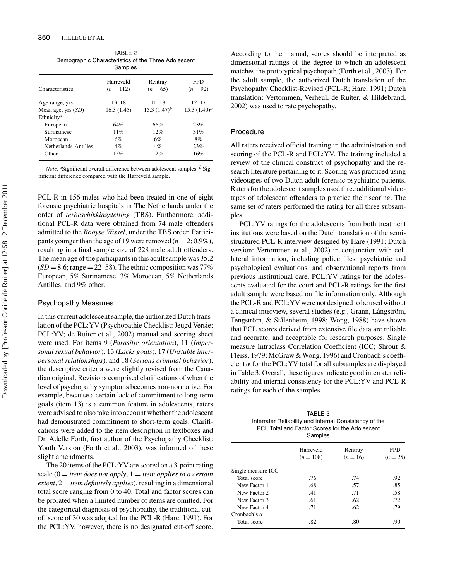| Demographic Characteristics of the Three Adolescent<br>Samples |                          |                       |                          |
|----------------------------------------------------------------|--------------------------|-----------------------|--------------------------|
| <b>Characteristics</b>                                         | Harreveld<br>$(n = 112)$ | Rentray<br>$(n = 65)$ | <b>FPD</b><br>$(n = 92)$ |
| Age range, yrs                                                 | $13 - 18$                | $11 - 18$             | $12 - 17$                |
| Mean age, $yrs(SD)$                                            | 16.3(1.45)               | 15.3 $(1.47)^b$       | 15.3 $(1.40)^b$          |
| Ethnicity <sup><i>a</i></sup>                                  |                          |                       |                          |
| European                                                       | 64%                      | 66%                   | 23%                      |
| Surinamese                                                     | 11%                      | 12%                   | 31%                      |
| Moroccan                                                       | 6%                       | 6%                    | 8%                       |
| Netherlands-Antilles                                           | $4\%$                    | $4\%$                 | 23%                      |
| Other                                                          | 15%                      | 12%                   | 16%                      |

TABLE 2 Demographic Characteristics of the Three Adolescent

*Note*. *<sup>a</sup>*Significant overall difference between adolescent samples; *<sup>b</sup>* Significant difference compared with the Harreveld sample.

PCL-R in 156 males who had been treated in one of eight forensic psychiatric hospitals in The Netherlands under the order of *terbeschikkingstelling* (TBS). Furthermore, additional PCL-R data were obtained from 74 male offenders admitted to the *Rooyse Wissel*, under the TBS order. Participants younger than the age of 19 were removed  $(n = 2, 0.9\%)$ , resulting in a final sample size of 228 male adult offenders. The mean age of the participants in this adult sample was 35.2  $(SD = 8.6; \text{range} = 22 - 58)$ . The ethnic composition was 77% European, 5% Surinamese, 3% Moroccan, 5% Netherlands Antilles, and 9% other.

#### Psychopathy Measures

In this current adolescent sample, the authorized Dutch translation of the PCL:YV (Psychopathie Checklist: Jeugd Versie; PCL:YV; de Ruiter et al., 2002) manual and scoring sheet were used. For items 9 (*Parasitic orientation*), 11 (*Impersonal sexual behavior*), 13 (*Lacks goals*), 17 (*Unstable interpersonal relationships*), and 18 (*Serious criminal behavior*), the descriptive criteria were slightly revised from the Canadian original. Revisions comprised clarifications of when the level of psychopathy symptoms becomes non-normative. For example, because a certain lack of commitment to long-term goals (item 13) is a common feature in adolescents, raters were advised to also take into account whether the adolescent had demonstrated commitment to short-term goals. Clarifications were added to the item description in textboxes and Dr. Adelle Forth, first author of the Psychopathy Checklist: Youth Version (Forth et al., 2003), was informed of these slight amendments.

The 20 items of the PCL:YV are scored on a 3-point rating scale  $(0 = item does not apply, 1 = item applies to a certain)$ *extent*, 2 = *item definitely applies*), resulting in a dimensional total score ranging from 0 to 40. Total and factor scores can be prorated when a limited number of items are omitted. For the categorical diagnosis of psychopathy, the traditional cutoff score of 30 was adopted for the PCL-R (Hare, 1991). For the PCL:YV, however, there is no designated cut-off score.

According to the manual, scores should be interpreted as dimensional ratings of the degree to which an adolescent matches the prototypical psychopath (Forth et al., 2003). For the adult sample, the authorized Dutch translation of the Psychopathy Checklist-Revised (PCL-R; Hare, 1991; Dutch translation: Vertommen, Verheul, de Ruiter, & Hildebrand, 2002) was used to rate psychopathy.

## Procedure

All raters received official training in the administration and scoring of the PCL-R and PCL:YV. The training included a review of the clinical construct of psychopathy and the research literature pertaining to it. Scoring was practiced using videotapes of two Dutch adult forensic psychiatric patients. Raters for the adolescent samples used three additional videotapes of adolescent offenders to practice their scoring. The same set of raters performed the rating for all three subsamples.

PCL:YV ratings for the adolescents from both treatment institutions were based on the Dutch translation of the semistructured PCL-R interview designed by Hare (1991; Dutch version: Vertommen et al., 2002) in conjunction with collateral information, including police files, psychiatric and psychological evaluations, and observational reports from previous institutional care. PCL:YV ratings for the adolescents evaluated for the court and PCL-R ratings for the first adult sample were based on file information only. Although the PCL-R and PCL:YV were not designed to be used without a clinical interview, several studies (e.g., Grann, Långström, Tengström, & Stålenheim, 1998; Wong, 1988) have shown that PCL scores derived from extensive file data are reliable and accurate, and acceptable for research purposes. Single measure Intraclass Correlation Coefficient (ICC; Shrout & Fleiss, 1979; McGraw & Wong, 1996) and Cronbach's coefficient  $\alpha$  for the PCL:YV total for all subsamples are displayed in Table 3. Overall, these figures indicate good interrater reliability and internal consistency for the PCL:YV and PCL-R ratings for each of the samples.

TABLE 3 Interrater Reliability and Internal Consistency of the PCL Total and Factor Scores for the Adolescent Samples

| odilipies           |                          |                       |                          |
|---------------------|--------------------------|-----------------------|--------------------------|
|                     | Harreveld<br>$(n = 108)$ | Rentray<br>$(n = 16)$ | <b>FPD</b><br>$(n = 25)$ |
| Single measure ICC  |                          |                       |                          |
| Total score         | .76                      | .74                   | .92                      |
| New Factor 1        | .68                      | .57                   | .85                      |
| New Factor 2        | .41                      | .71                   | .58                      |
| New Factor 3        | .61                      | .62                   | .72                      |
| New Factor 4        | .71                      | .62                   | .79                      |
| Cronbach's $\alpha$ |                          |                       |                          |
| Total score         | .82                      | .80                   | .90                      |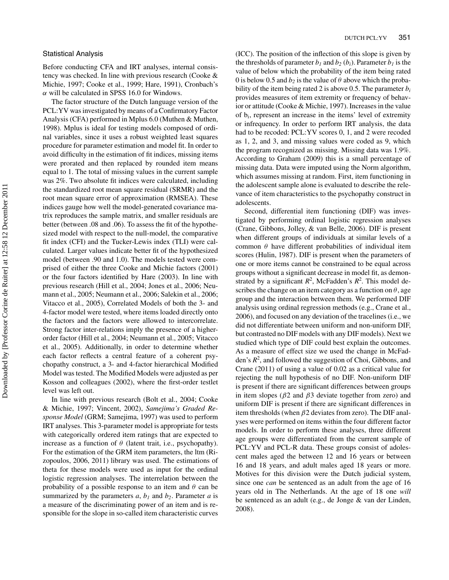#### Statistical Analysis

Before conducting CFA and IRT analyses, internal consistency was checked. In line with previous research (Cooke & Michie, 1997; Cooke et al., 1999; Hare, 1991), Cronbach's  $\alpha$  will be calculated in SPSS 16.0 for Windows.

The factor structure of the Dutch language version of the PCL:YV was investigated by means of a Confirmatory Factor Analysis (CFA) performed in Mplus 6.0 (Muthen & Muthen, 1998). Mplus is ideal for testing models composed of ordinal variables, since it uses a robust weighted least squares procedure for parameter estimation and model fit. In order to avoid difficulty in the estimation of fit indices, missing items were prorated and then replaced by rounded item means equal to 1. The total of missing values in the current sample was 2%. Two absolute fit indices were calculated, including the standardized root mean square residual (SRMR) and the root mean square error of approximation (RMSEA). These indices gauge how well the model-generated covariance matrix reproduces the sample matrix, and smaller residuals are better (between .08 and .06). To assess the fit of the hypothesized model with respect to the null-model, the comparative fit index (CFI) and the Tucker-Lewis index (TLI) were calculated. Larger values indicate better fit of the hypothesized model (between .90 and 1.0). The models tested were comprised of either the three Cooke and Michie factors (2001) or the four factors identified by Hare (2003). In line with previous research (Hill et al., 2004; Jones et al., 2006; Neumann et al., 2005; Neumann et al., 2006; Salekin et al., 2006; Vitacco et al., 2005), Correlated Models of both the 3- and 4-factor model were tested, where items loaded directly onto the factors and the factors were allowed to intercorrelate. Strong factor inter-relations imply the presence of a higherorder factor (Hill et al., 2004; Neumann et al., 2005; Vitacco et al., 2005). Additionally, in order to determine whether each factor reflects a central feature of a coherent psychopathy construct, a 3- and 4-factor hierarchical Modified Model was tested. The Modified Models were adjusted as per Kosson and colleagues (2002), where the first-order testlet level was left out.

In line with previous research (Bolt et al., 2004; Cooke & Michie, 1997; Vincent, 2002), *Samejima's Graded Response Model* (GRM; Samejima, 1997) was used to perform IRT analyses. This 3-parameter model is appropriate for tests with categorically ordered item ratings that are expected to increase as a function of  $\theta$  (latent trait, i.e., psychopathy). For the estimation of the GRM item parameters, the ltm (Rizopoulos, 2006, 2011) library was used. The estimations of theta for these models were used as input for the ordinal logistic regression analyses. The interrelation between the probability of a possible response to an item and  $\theta$  can be summarized by the parameters  $a$ ,  $b_1$  and  $b_2$ . Parameter  $a$  is a measure of the discriminating power of an item and is responsible for the slope in so-called item characteristic curves

(ICC). The position of the inflection of this slope is given by the thresholds of parameter  $b_1$  and  $b_2$  ( $b_i$ ). Parameter  $b_1$  is the value of below which the probability of the item being rated 0 is below 0.5 and  $b_2$  is the value of  $\theta$  above which the probability of the item being rated 2 is above 0.5. The parameter *bi* provides measures of item extremity or frequency of behavior or attitude (Cooke & Michie, 1997). Increases in the value of bi, represent an increase in the items' level of extremity or infrequency. In order to perform IRT analysis, the data had to be recoded: PCL:YV scores 0, 1, and 2 were recoded as 1, 2, and 3, and missing values were coded as 9, which the program recognized as missing. Missing data was 1.9%. According to Graham (2009) this is a small percentage of missing data. Data were imputed using the Norm algorithm, which assumes missing at random. First, item functioning in the adolescent sample alone is evaluated to describe the relevance of item characteristics to the psychopathy construct in adolescents.

Second, differential item functioning (DIF) was investigated by performing ordinal logistic regression analyses (Crane, Gibbons, Jolley, & van Belle, 2006). DIF is present when different groups of individuals at similar levels of a common  $\theta$  have different probabilities of individual item scores (Hulin, 1987). DIF is present when the parameters of one or more items cannot be constrained to be equal across groups without a significant decrease in model fit, as demonstrated by a significant  $R^2$ , McFadden's  $R^2$ . This model describes the change on an item category as a function on  $\theta$ , age group and the interaction between them. We performed DIF analysis using ordinal regression methods (e.g., Crane et al., 2006), and focused on any deviation of the tracelines (i.e., we did not differentiate between uniform and non-uniform DIF, but contrasted no DIF models with any DIF models). Next we studied which type of DIF could best explain the outcomes. As a measure of effect size we used the change in McFadden's *R*<sup>2</sup> , and followed the suggestion of Choi, Gibbons, and Crane (2011) of using a value of 0.02 as a critical value for rejecting the null hypothesis of no DIF. Non-uniform DIF is present if there are significant differences between groups in item slopes ( $\beta$ 2 and  $\beta$ 3 deviate together from zero) and uniform DIF is present if there are significant differences in item thresholds (when  $\beta$ 2 deviates from zero). The DIF analyses were performed on items within the four different factor models. In order to perform these analyses, three different age groups were differentiated from the current sample of PCL:YV and PCL-R data. These groups consist of adolescent males aged the between 12 and 16 years or between 16 and 18 years, and adult males aged 18 years or more. Motives for this division were the Dutch judicial system, since one *can* be sentenced as an adult from the age of 16 years old in The Netherlands. At the age of 18 one *will* be sentenced as an adult (e.g., de Jonge & van der Linden, 2008).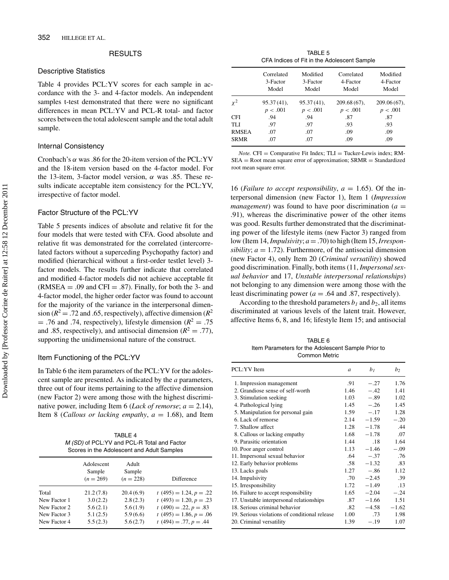### RESULTS

### Descriptive Statistics

Table 4 provides PCL:YV scores for each sample in accordance with the 3- and 4-factor models. An independent samples t-test demonstrated that there were no significant differences in mean PCL:YV and PCL-R total- and factor scores between the total adolescent sample and the total adult sample.

#### Internal Consistency

Cronbach's  $\alpha$  was .86 for the 20-item version of the PCL:YV and the 18-item version based on the 4-factor model. For the 13-item, 3-factor model version,  $\alpha$  was .85. These results indicate acceptable item consistency for the PCL:YV, irrespective of factor model.

## Factor Structure of the PCL:YV

Table 5 presents indices of absolute and relative fit for the four models that were tested with CFA. Good absolute and relative fit was demonstrated for the correlated (intercorrelated factors without a superceding Psychopathy factor) and modified (hierarchical without a first-order testlet level) 3 factor models. The results further indicate that correlated and modified 4-factor models did not achieve acceptable fit  $(RMSEA = .09$  and CFI = .87). Finally, for both the 3- and 4-factor model, the higher order factor was found to account for the majority of the variance in the interpersonal dimension ( $R^2 = .72$  and .65, respectively), affective dimension ( $R^2$ )  $=$  .76 and .74, respectively), lifestyle dimension ( $R^2 = .75$ ) and .85, respectively), and antisocial dimension ( $R^2 = .77$ ), supporting the unidimensional nature of the construct.

## Item Functioning of the PCL:YV

In Table 6 the item parameters of the PCL:YV for the adolescent sample are presented. As indicated by the *a* parameters, three out of four items pertaining to the affective dimension (new Factor 2) were among those with the highest discriminative power, including Item 6 (*Lack of remorse*; *a* = 2.14), Item 8 (*Callous or lacking empathy*, *a* = 1.68), and Item

TABLE 4 M (SD) of PCL:YV and PCL-R Total and Factor Scores in the Adolescent and Adult Samples

|              | Adolescent<br>Sample<br>$(n = 269)$ | Adult<br>Sample<br>$(n = 228)$ | Difference               |
|--------------|-------------------------------------|--------------------------------|--------------------------|
| Total        | 21.2(7.8)                           | 20.4(6.9)                      | $t(495) = 1.24, p = .22$ |
| New Factor 1 | 3.0(2.2)                            | 2.8(2.3)                       | $t(493) = 1.20, p = .23$ |
| New Factor 2 | 5.6(2.1)                            | 5.6(1.9)                       | $t(490) = .22, p = .83$  |
| New Factor 3 | 5.1(2.5)                            | 5.9(6.6)                       | $t(495) = 1.86, p = .06$ |
| New Factor 4 | 5.5(2.3)                            | 5.6(2.7)                       | $t(494) = .77, p = .44$  |

TABLE 5 CFA Indices of Fit in the Adolescent Sample

|              | Correlated<br>3-Factor<br>Model | Modified<br>3-Factor<br>Model | Correlated<br>4-Factor<br>Model | Modified<br>4-Factor<br>Model |
|--------------|---------------------------------|-------------------------------|---------------------------------|-------------------------------|
| $x^2$        | $95.37(41)$ ,                   | $95.37(41)$ ,                 | $209.68(67)$ ,                  | $209.06(67)$ ,                |
| CFI.         | p < .001<br>.94                 | p < .001<br>.94               | p < .001<br>.87                 | p < .001<br>.87               |
| <b>TLI</b>   | .97                             | .97                           | .93                             | .93                           |
| <b>RMSEA</b> | .07                             | .07                           | .09                             | .09                           |
| <b>SRMR</b>  | .07                             | .07                           | .09                             | .09                           |

*Note.* CFI = Comparative Fit Index; TLI = Tucker-Lewis index; RM- $SEA = Root$  mean square error of approximation;  $SRMR = Standardized$ root mean square error.

16 (*Failure to accept responsibility*,  $a = 1.65$ ). Of the interpersonal dimension (new Factor 1), Item 1 (*Impression management*) was found to have poor discrimination ( $a =$ .91), whereas the discriminative power of the other items was good. Results further demonstrated that the discriminating power of the lifestyle items (new Factor 3) ranged from low (Item 14,*Impulsivity*; *a* = .70) to high (Item 15,*Irresponsibility*;  $a = 1.72$ ). Furthermore, of the antisocial dimension (new Factor 4), only Item 20 (*Criminal versatility*) showed good discrimination. Finally, both items (11, *Impersonal sexual behavior* and 17, *Unstable interpersonal relationships*) not belonging to any dimension were among those with the least discriminating power (*a* = .64 and .87, respectively).

According to the threshold parameters  $b_1$  and  $b_2$ , all items discriminated at various levels of the latent trait. However, affective Items 6, 8, and 16; lifestyle Item 15; and antisocial

TABLE 6 Item Parameters for the Adolescent Sample Prior to Common Metric

| PCL:YV Item                                   | $\boldsymbol{a}$ | b <sub>1</sub> | b <sub>2</sub> |
|-----------------------------------------------|------------------|----------------|----------------|
| 1. Impression management                      | .91              | $-.27$         | 1.76           |
| 2. Grandiose sense of self-worth              | 1.46             | $-.42$         | 1.41           |
| 3. Stimulation seeking                        | 1.03             | $-.89$         | 1.02           |
| 4. Pathological lying                         | 1.45             | $-.26$         | 1.45           |
| 5. Manipulation for personal gain             | 1.59             | $-.17$         | 1.28           |
| 6. Lack of remorse                            | 2.14             | $-1.59$        | $-.20$         |
| 7. Shallow affect                             | 1.28             | $-1.78$        | .44            |
| 8. Callous or lacking empathy                 | 1.68             | $-1.78$        | .07            |
| 9. Parasitic orientation                      | 1.44             | $-18$          | 1.64           |
| 10. Poor anger control                        | 1.13             | $-1.46$        | $-.09$         |
| 11. Impersonal sexual behavior                | .64              | $-.37$         | .76            |
| 12. Early behavior problems                   | .58              | $-1.32$        | .83            |
| 13. Lacks goals                               | 1.27             | $-.86$         | 1.12           |
| 14. Impulsivity                               | .70              | $-2.45$        | .39            |
| 15. Irresponsibility                          | 1.72             | $-1.49$        | .13            |
| 16. Failure to accept responsibility          | 1.65             | $-2.04$        | $-.24$         |
| 17. Unstable interpersonal relationships      | .87              | $-1.66$        | 1.51           |
| 18. Serious criminal behavior                 | .82              | $-4.58$        | $-1.62$        |
| 19. Serious violations of conditional release | 1.00             | .73            | 1.98           |
| 20. Criminal versatility                      | 1.39             | $-.19$         | 1.07           |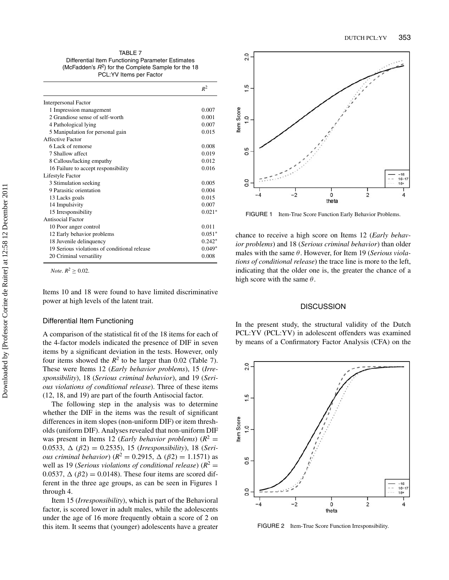TABLE 7 Differential Item Functioning Parameter Estimates (McFadden's  $R^2$ ) for the Complete Sample for the 18 PCL:YV Items per Factor

|                                              | $R^2$    |
|----------------------------------------------|----------|
| <b>Interpersonal Factor</b>                  |          |
| 1 Impression management                      | 0.007    |
| 2 Grandiose sense of self-worth              | 0.001    |
| 4 Pathological lying                         | 0.007    |
| 5 Manipulation for personal gain             | 0.015    |
| <b>Affective Factor</b>                      |          |
| 6 Lack of remorse                            | 0.008    |
| 7 Shallow affect                             | 0.019    |
| 8 Callous/lacking empathy                    | 0.012    |
| 16 Failure to accept responsibility          | 0.016    |
| Lifestyle Factor                             |          |
| 3 Stimulation seeking                        | 0.005    |
| 9 Parasitic orientation                      | 0.004    |
| 13 Lacks goals                               | 0.015    |
| 14 Impulsivity                               | 0.007    |
| 15 Irresponsibility                          | $0.021*$ |
| Antisocial Factor                            |          |
| 10 Poor anger control                        | 0.011    |
| 12 Early behavior problems                   | $0.051*$ |
| 18 Juvenile delinquency                      | $0.242*$ |
| 19 Serious violations of conditional release | $0.049*$ |
| 20 Criminal versatility                      | 0.008    |

*Note*.  $R^2 \ge 0.02$ .

Items 10 and 18 were found to have limited discriminative power at high levels of the latent trait.

#### Differential Item Functioning

A comparison of the statistical fit of the 18 items for each of the 4-factor models indicated the presence of DIF in seven items by a significant deviation in the tests. However, only four items showed the  $R^2$  to be larger than 0.02 (Table 7). These were Items 12 (*Early behavior problems*), 15 (*Irresponsibility*), 18 (*Serious criminal behavior*), and 19 (*Serious violations of conditional release*). Three of these items (12, 18, and 19) are part of the fourth Antisocial factor.

The following step in the analysis was to determine whether the DIF in the items was the result of significant differences in item slopes (non-uniform DIF) or item thresholds (uniform DIF). Analyses revealed that non-uniform DIF was present in Items 12 (*Early behavior problems*) ( $R^2$  = 0.0533, (β2) = 0.2535), 15 (*Irresponsibility*), 18 (*Serious criminal behavior*) ( $R^2 = 0.2915$ ,  $\Delta (\beta 2) = 1.1571$ ) as well as 19 (*Serious violations of conditional release*) ( $R^2$  = 0.0537,  $\Delta (\beta 2) = 0.0148$ . These four items are scored different in the three age groups, as can be seen in Figures 1 through 4.

Item 15 (*Irresponsibility*), which is part of the Behavioral factor, is scored lower in adult males, while the adolescents under the age of 16 more frequently obtain a score of 2 on this item. It seems that (younger) adolescents have a greater



FIGURE 1 Item-True Score Function Early Behavior Problems.

chance to receive a high score on Items 12 (*Early behavior problems*) and 18 (*Serious criminal behavior*) than older males with the same θ. However, for Item 19 (*Serious violations of conditional release*) the trace line is more to the left, indicating that the older one is, the greater the chance of a high score with the same  $\theta$ .

## **DISCUSSION**

In the present study, the structural validity of the Dutch PCL:YV (PCL:YV) in adolescent offenders was examined by means of a Confirmatory Factor Analysis (CFA) on the



FIGURE 2 Item-True Score Function Irresponsibility.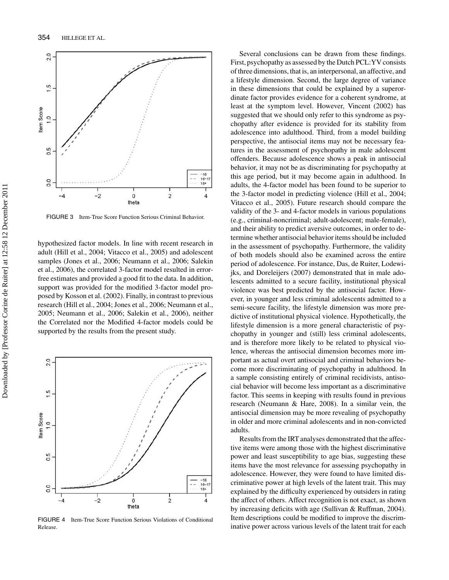

FIGURE 3 Item-True Score Function Serious Criminal Behavior.

hypothesized factor models. In line with recent research in adult (Hill et al., 2004; Vitacco et al., 2005) and adolescent samples (Jones et al., 2006; Neumann et al., 2006; Salekin et al., 2006), the correlated 3-factor model resulted in errorfree estimates and provided a good fit to the data. In addition, support was provided for the modified 3-factor model proposed by Kosson et al. (2002). Finally, in contrast to previous research (Hill et al., 2004; Jones et al., 2006; Neumann et al., 2005; Neumann et al., 2006; Salekin et al., 2006), neither the Correlated nor the Modified 4-factor models could be supported by the results from the present study.



FIGURE 4 Item-True Score Function Serious Violations of Conditional Release.

Several conclusions can be drawn from these findings. First, psychopathy as assessed by the Dutch PCL:YV consists of three dimensions, that is, an interpersonal, an affective, and a lifestyle dimension. Second, the large degree of variance in these dimensions that could be explained by a superordinate factor provides evidence for a coherent syndrome, at least at the symptom level. However, Vincent (2002) has suggested that we should only refer to this syndrome as psychopathy after evidence is provided for its stability from adolescence into adulthood. Third, from a model building perspective, the antisocial items may not be necessary features in the assessment of psychopathy in male adolescent offenders. Because adolescence shows a peak in antisocial behavior, it may not be as discriminating for psychopathy at this age period, but it may become again in adulthood. In adults, the 4-factor model has been found to be superior to the 3-factor model in predicting violence (Hill et al., 2004; Vitacco et al., 2005). Future research should compare the validity of the 3- and 4-factor models in various populations (e.g., criminal-noncriminal; adult-adolescent; male-female), and their ability to predict aversive outcomes, in order to determine whether antisocial behavior items should be included in the assessment of psychopathy. Furthermore, the validity of both models should also be examined across the entire period of adolescence. For instance, Das, de Ruiter, Lodewijks, and Doreleijers (2007) demonstrated that in male adolescents admitted to a secure facility, institutional physical violence was best predicted by the antisocial factor. However, in younger and less criminal adolescents admitted to a semi-secure facility, the lifestyle dimension was more predictive of institutional physical violence. Hypothetically, the lifestyle dimension is a more general characteristic of psychopathy in younger and (still) less criminal adolescents, and is therefore more likely to be related to physical violence, whereas the antisocial dimension becomes more important as actual overt antisocial and criminal behaviors become more discriminating of psychopathy in adulthood. In a sample consisting entirely of criminal recidivists, antisocial behavior will become less important as a discriminative factor. This seems in keeping with results found in previous research (Neumann & Hare, 2008). In a similar vein, the antisocial dimension may be more revealing of psychopathy in older and more criminal adolescents and in non-convicted adults.

Results from the IRT analyses demonstrated that the affective items were among those with the highest discriminative power and least susceptibility to age bias, suggesting these items have the most relevance for assessing psychopathy in adolescence. However, they were found to have limited discriminative power at high levels of the latent trait. This may explained by the difficulty experienced by outsiders in rating the affect of others. Affect recognition is not exact, as shown by increasing deficits with age (Sullivan & Ruffman, 2004). Item descriptions could be modified to improve the discriminative power across various levels of the latent trait for each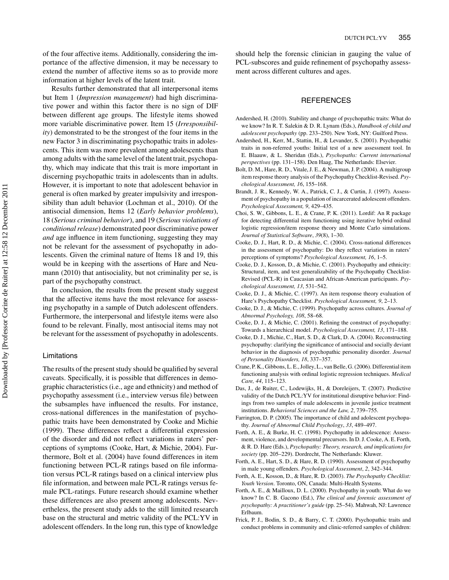of the four affective items. Additionally, considering the importance of the affective dimension, it may be necessary to extend the number of affective items so as to provide more information at higher levels of the latent trait.

Results further demonstrated that all interpersonal items but Item 1 (*Impression management*) had high discriminative power and within this factor there is no sign of DIF between different age groups. The lifestyle items showed more variable discriminative power. Item 15 (*Irresponsibility*) demonstrated to be the strongest of the four items in the new Factor 3 in discriminating psychopathic traits in adolescents. This item was more prevalent among adolescents than among adults with the same level of the latent trait, psychopathy, which may indicate that this trait is more important in discerning psychopathic traits in adolescents than in adults. However, it is important to note that adolescent behavior in general is often marked by greater impulsivity and irresponsibility than adult behavior (Lochman et al., 2010). Of the antisocial dimension, Items 12 (*Early behavior problems*), 18 (*Serious criminal behavior*), and 19 (*Serious violations of conditional release*) demonstrated poor discriminative power *and* age influence in item functioning, suggesting they may not be relevant for the assessment of psychopathy in adolescents. Given the criminal nature of Items 18 and 19, this would be in keeping with the assertions of Hare and Neumann (2010) that antisociality, but not criminality per se, is part of the psychopathy construct.

In conclusion, the results from the present study suggest that the affective items have the most relevance for assessing psychopathy in a sample of Dutch adolescent offenders. Furthermore, the interpersonal and lifestyle items were also found to be relevant. Finally, most antisocial items may not be relevant for the assessment of psychopathy in adolescents.

#### Limitations

The results of the present study should be qualified by several caveats. Specifically, it is possible that differences in demographic characteristics (i.e., age and ethnicity) and method of psychopathy assessment (i.e., interview versus file) between the subsamples have influenced the results. For instance, cross-national differences in the manifestation of psychopathic traits have been demonstrated by Cooke and Michie (1999). These differences reflect a differential expression of the disorder and did not reflect variations in raters' perceptions of symptoms (Cooke, Hart, & Michie, 2004). Furthermore, Bolt et al. (2004) have found differences in item functioning between PCL-R ratings based on file information versus PCL-R ratings based on a clinical interview plus file information, and between male PCL-R ratings versus female PCL-ratings. Future research should examine whether these differences are also present among adolescents. Nevertheless, the present study adds to the still limited research base on the structural and metric validity of the PCL:YV in adolescent offenders. In the long run, this type of knowledge

should help the forensic clinician in gauging the value of PCL-subscores and guide refinement of psychopathy assessment across different cultures and ages.

## **REFERENCES**

- Andershed, H. (2010). Stability and change of psychopathic traits: What do we know? In R. T. Salekin & D. R. Lynam (Eds.), *Handbook of child and adolescent psychopathy* (pp. 233–250). New York, NY: Guilford Press.
- Andershed, H., Kerr, M., Stattin, H., & Levander, S. (2001). Psychopathic traits in non-referred youths: Initial test of a new assessment tool. In E. Blaauw, & L. Sheridan (Eds.), *Psychopaths: Current international perspectives* (pp. 131–158). Den Haag, The Netherlands: Elsevier.
- Bolt, D. M., Hare, R. D., Vitale, J. E., & Newman, J. P. (2004). A multigroup item response theory analysis of the Psychopathy Checklist-Revised. *Psychological Assessment, 16*, 155–168.
- Brandt, J. R., Kennedy, W. A., Patrick, C. J., & Curtin, J. (1997). Assessment of psychopathy in a population of incarcerated adolescent offenders. *Psychological Assessment, 9*, 429–435.
- Choi, S. W., Gibbons, L. E., & Crane, P. K. (2011). Lordif: An R package for detecting differential item functioning using iterative hybrid ordinal logistic regression/item response theory and Monte Carlo simulations. *Journal of Statistical Software*, *39*(8), 1–30.
- Cooke, D. J., Hart, R. D., & Michie, C. (2004). Cross-national differences in the assessment of psychopathy: Do they reflect variations in raters' perceptions of symptoms? *Psychological Assessment, 16*, 1–5.
- Cooke, D. J., Kosson, D., & Michie, C. (2001). Psychopathy and ethnicity: Structural, item, and test generalizability of the Psychopathy Checklist-Revised (PCL-R) in Caucasian and African-American participants. *Psychological Assessment, 13*, 531–542.
- Cooke, D. J., & Michie, C. (1997). An item response theory evaluation of Hare's Psychopathy Checklist. *Psychological Assessment, 9*, 2–13.
- Cooke, D. J., & Michie, C. (1999). Psychopathy across cultures. *Journal of Abnormal Psychology, 108*, 58–68.
- Cooke, D. J., & Michie, C. (2001). Refining the construct of psychopathy: Towards a hierarchical model. *Psychological Assessment, 13*, 171–188.
- Cooke, D. J., Michie, C., Hart, S. D., & Clark, D. A. (2004). Reconstructing psychopathy: clarifying the significance of antisocial and socially deviant behavior in the diagnosis of psychopathic personality disorder. *Journal of Personality Disorders, 18*, 337–357.
- Crane, P. K., Gibbons, L. E., Jolley, L., van Belle, G. (2006). Differential item functioning analysis with ordinal logistic regression techniques. *Medical Care, 44*, 115–123.
- Das, J., de Ruiter, C., Lodewijks, H., & Doreleijers, T. (2007). Predictive validity of the Dutch PCL:YV for institutional disruptive behavior: Findings from two samples of male adolescents in juvenile justice treatment institutions. *Behavioral Sciences and the Law, 2*, 739–755.
- Farrington, D. P. (2005). The importance of child and adolescent psychopathy. *Journal of Abnormal Child Psychology*, *33*, 489–497.
- Forth, A. E., & Burke, H. C. (1998). Psychopathy in adolescence: Assessment, violence, and developmental precursors. In D. J. Cooke, A. E. Forth, & R. D. Hare (Eds.), *Psychopathy: Theory, research, and implications for society* (pp. 205–229). Dordrecht, The Netherlands: Kluwer.
- Forth, A. E., Hart, S. D., & Hare, R. D. (1990). Assessment of psychopathy in male young offenders. *Psychological Assessment*, *2*, 342–344.
- Forth, A. E., Kosson, D., & Hare, R. D. (2003). *The Psychopathy Checklist: Youth Version*. Toronto, ON, Canada: Multi-Health Systems.
- Forth, A. E., & Mailloux, D. L. (2000). Psychopathy in youth: What do we know? In C. B. Gacono (Ed.), *The clinical and forensic assessment of psychopathy: A practitioner's guide* (pp. 25–54). Mahwah, NJ: Lawrence Erlbaum.
- Frick, P. J., Bodin, S. D., & Barry, C. T. (2000). Psychopathic traits and conduct problems in community and clinic-referred samples of children: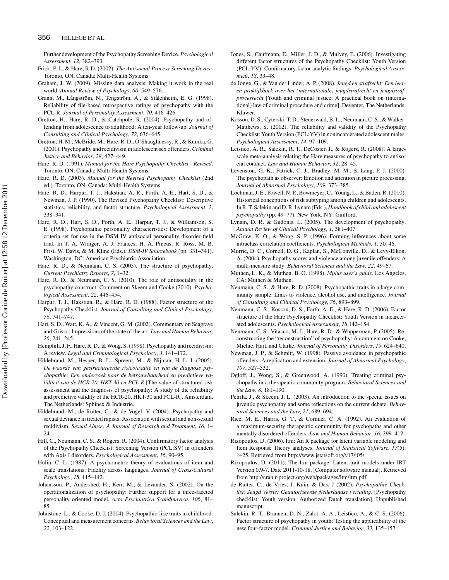Further development of the Psychopathy Screening Device.*Psychological Assessment*, *12*, 382–393.

- Frick, P. J., & Hare, R.D. (2002). *The Antisocial Process Screening Device*. Toronto, ON, Canada: Multi-Health Systems.
- Graham, J. W. (2009). Missing data analysis: Making it work in the real world. *Annual Review of Psychology*, *60*, 549–576.
- Grann, M., Långström, N., Tengström, A., & Stålenheim, E. G. (1998). Reliability of file-based retrospective ratings of psychopathy with the PCL-R. *Journal of Personality Assessment*, *70*, 416–426.
- Gretton, H., Hare, R. D., & Catchpole, R. (2004). Psychopathy and offending from adolescence to adulthood: A ten-year follow-up. *Journal of Consulting and Clinical Psychology*, *72*, 636–645.
- Gretton, H. M., McBride, M., Hare, R. D., O'Shaughnessy, R., & Kumka, G. (2001). Psychopathy and recidivism in adolescent sex offenders. *Criminal Justice and Behavior*, *28*, 427–449.
- Hare, R. D. (1991). *Manual for the Hare Psychopathy Checklist Revised*. Toronto, ON, Canada: Multi-Health Systems.
- Hare, R. D. (2003). *Manual for the Revised Psychopathy Checklist* (2nd ed.). Toronto, ON, Canada: Multi-Health Systems.
- Hare, R. D., Harpur, T. J., Hakstian, A. R., Forth, A. E., Hart, S. D., & Newman, J. P. (1990). The Revised Psychopathy Checklist: Descriptive statistics, reliability, and factor structure. *Psychological Assessment*, *2*, 338–341.
- Hare, R. D., Hart, S. D., Forth, A. E., Harpur, T. J., & Williamson, S. E. (1998). Psychopathic personality characteristics: Development of a criteria set for use in the DSM-IV antisocial personality disorder field trial. In T. A. Widiger, A. J. Frances, H. A. Pincus, R. Ross, M. B. First, W. Davis, & M. Kline (Eds.), *DSM-IV Sourcebook* (pp. 331–341). Washington, DC: American Psychiatric Association.
- Hare, R. D., & Neumann, C. S. (2005). The structure of psychopathy. *Current Psychiatry Reports*, *7*, 1–32.
- Hare, R. D., & Neumann, C. S. (2010). The role of antisociality in the psychopathy construct: Comment on Skeem and Cooke (2010). *Psychological Assessment*, *22*, 446–454.
- Harpur, T. J., Hakstian, R., & Hare, R. D. (1988). Factor structure of the Psychopathy Checklist. *Journal of Consulting and Clinical Psychology*, *56*, 741–747.
- Hart, S. D., Watt, K. A., & Vincent, G. M. (2002). Commentary on Seagrave and Grisso: Impressions of the state of the art. *Law and Human Behavior*, *26*, 241–245.
- Hemphill, J. F., Hare, R. D., & Wong, S. (1998). Psychopathy and recidivism: A review. *Legal and Criminological Psychology*, *3*, 141–172.
- Hildebrand, M., Hesper, B. L., Spreem, M., & Nijman, H. L. I. (2005). *De waarde van gestructureerde risicotaxatie en van de diagnose psychopathie: Een onderzoek naar de betrouwbaarheid en predictieve validiteit van de HCR-20, HKT-30 en PCL-R* [The value of structured risk assessment and the diagnosis of psychopathy: A study of the reliability and predictive validity of the HCR-20, HKT-30 and PCL-R]. Amsterdam, The Netherlands: Sphinex & Industrie.
- Hildebrand, M., de Ruiter, C., & de Vogel, V. (2004). Psychopathy and sexual deviance in treated rapists: Association with sexual and non-sexual recidivism. *Sexual Abuse: A Journal of Research and Treatment*, *16*, 1– 24.
- Hill, C., Neumann, C. S., & Rogers, R. (2004). Confirmatory factor analysis of the Psychopathy Checklist: Screening Version (PCL:SV) in offenders with Axis I disorders. *Psychological Assessment*, *16*, 90–95.
- Hulin, C. L. (1987). A psychometric theory of evaluations of item and scale translations: Fidelity across languages. *Journal of Cross-Cultural Psychology*, *18*, 115–142.
- Johansson, P., Andershed, H., Kerr, M., & Levander, S. (2002). On the operationalization of psychopathy: Further support for a three-faceted personality oriented model. *Acta Psychiatrica Scandinavica*, *106*, 81– 85.
- Johnstone, L., & Cooke, D. J. (2004). Psychopathic-like traits in childhood: Conceptual and measurement concerns. *Behavioral Sciences and the Law*, *22*, 103–122.
- Jones, S., Caufmann, E., Miller, J. D., & Mulvey, E. (2006). Investigating different factor structures of the Psychopathy Checklist: Youth Version (PCL:YV): Confirmatory factor analytic findings. *Psychological Assessment*, *18*, 33–48.
- de Jonge, G., & Van der Linder, A. P. (2008). *Jeugd en strafrecht: Een leeren praktijkboek over het (internationale) jeugdstrafrecht en jeugdstrafprocesrecht* [Youth and criminal justice: A practical book on (international) law of criminal procedure and crime]. Deventer, The Netherlands: Kluwer.
- Kosson, D. S., Cyterski, T. D., Steuerwald, B. L., Neumann, C. S., & Walker-Matthews, S. (2002). The reliability and validity of the Psychopathy Checklist: Youth Version (PCL:YV) in nonincarcerated adolescent males. *Psychological Assessment*, *14*, 97–109.
- Leistico, A. R., Salekin, R. T., DeCoster, J., & Rogers, R. (2008). A largescale meta-analysis relating the Hare measures of psychopathy to antisocial conduct. *Law and Human Behavior*, *32*, 28–45.
- Levenston, G. K., Patrick, C. J., Bradley, M. M., & Lang, P. J. (2000). The psychopath as observer: Emotion and attention in picture processing. *Journal of Abnormal Psychology*, *109*, 373–385.
- Lochman, J. E., Powell, N. P., Bowmeyer, C., Young, L., & Baden, R. (2010). Historical conceptions of risk subtyping among children and adolescents. In R. T. Salekin and D. R. Lynam (Eds.), *Handbook of child and adolescent psychopathy* (pp. 49–77). New York, NY: Guilford.
- Lynam, D. R. & Gudonis, L. (2005). The development of psychopathy. *Annual Review of Clinical Psychology*, *1*, 381–407.
- McGraw, K. O., & Wong, S. P. (1996). Forming inferences about some intraclass correlation coefficients. *Psychological Methods*, *1*, 30–46.
- Murrie, D. C., Cornell, D. G., Kaplan, S., McConville, D., & Levy-Elkon, A. (2004). Psychopathy scores and violence among juvenile offenders: A multi-measure study. *Behavioral Sciences and the Law*, *22*, 49–67.
- Muthen, L. K., & Muthen, B. O. (1998). *Mplus user's guide*. Los Angeles, CA: Muthen & Muthen.
- Neumann, C. S., & Hare, R. D. (2008). Psychopathic traits in a large community sample: Links to violence, alcohol use, and intelligence. *Journal of Consulting and Clinical Psychology*, *76*, 893–899.
- Neumann, C. S., Kosson, D. S., Forth, A. E., & Hare, R. D. (2006). Factor structure of the Hare Psychopathy Checklist: Youth Version in incarcerated adolescents. *Psychological Assessment*, *18*,142–154.
- Neumann, C. S., Vitacco, M. J., Hare, R. D., & Wupperman, P. (2005). Reconstructing the "reconstruction" of psychopathy: A comment on Cooke, Michie, Hart, and Clarke. *Journal of Personality Disorders*, *19*, 624–640.
- Newman, J. P., & Schmitt, W. (1998). Passive avoidance in psychopathic offenders: A replication and extension. *Journal of Abnormal Psychology*, *107*, 527–532.
- Ogloff, J., Wong, S., & Greenwood, A. (1990). Treating criminal psychopaths in a therapeutic community program. *Behavioral Sciences and the Law*, *8*, 181–190.
- Petrila, J., & Skeem, J. L. (2003). An introduction to the special issues on juvenile psychopathy and some reflections on the current debate. *Behavioral Sciences and the Law*, *21*, 689–694.
- Rice, M. E., Harris, G. T., & Cormier, C. A. (1992). An evaluation of a maximum-security therapeutic community for psychopaths and other mentally disordered offenders. *Law and Human Behavior*, *16*, 399–412.
- Rizopoulos, D. (2006). ltm: An R package for latent variable modeling and Item Response Theory analyses. *Journal of Statistical Software*, *17*(5): 1–25. Retrieved from http://www.jstatsoft.org/v17/i05/.
- Rizopoulos, D. (2011). The ltm package: Latent trait models under IRT Version 0.9-7. Date 2011-10-18. [Computer software manual]. Retrieved from http://cran.r-project.org/web/packages/ltm/ltm.pdf
- de Ruiter, C., de Vries, J. Kuin, & Das, J (2002). *Psychopathie Checklist: Jeugd Versie: Geautoriseerde Nederlandse vertaling*. [Psychopathy checklist: Youth version: Authorized Dutch translation]. Unpublished manuscript.
- Salekin, R. T., Brannen, D. N., Zalot, A. A., Leistico, A., & C. S. (2006). Factor structure of psychopathy in youth: Testing the applicability of the new four-factor model. *Criminal Justice and Behavior*, *33*, 135–157.